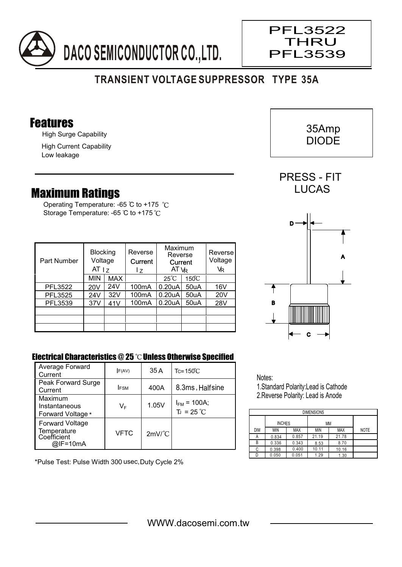

## **TRANSIENT VOLTAGE SUPPRESSOR TYPE 35A**

#### Features

High Surge Capability

High Current Capability Low leakage

### Maximum Ratings

Operating Temperature: -65 °C to +175 °C Storage Temperature: -65 °C to +175 °C

| Part Number    | <b>Blocking</b><br>Voltage<br>AT $ z $ |            | Reverse<br>Current<br>17 | Maximum<br>Reverse<br>Current<br>AT VR |                 | Reverse<br>Voltage<br>VR |
|----------------|----------------------------------------|------------|--------------------------|----------------------------------------|-----------------|--------------------------|
|                | MIN                                    | <b>MAX</b> |                          | $25^{\circ}C$                          | $150^{\circ}$ C |                          |
| PFL3522        | 20V                                    | 24V        | 100 <sub>m</sub> A       | 0.20 uA                                | 50uA            | 16V                      |
| <b>PFL3525</b> | 24V                                    | 32V        | 100 <sub>m</sub> A       | 0.20 uA                                | 50uA            | 20V                      |
| PFL3539        | 37V                                    | 41V        | 100mA                    | 0.20 uA                                | 50uA            | 28V                      |
|                |                                        |            |                          |                                        |                 |                          |
|                |                                        |            |                          |                                        |                 |                          |
|                |                                        |            |                          |                                        |                 |                          |

# A C B D

#### Electrical Characteristics  $@25$   $^{\circ}$ C Unless Otherwise Specified

| Average Forward<br>Current                                       | F(AV)       | 35 A                 | $Tc = 150^{\circ}$ C                    |
|------------------------------------------------------------------|-------------|----------------------|-----------------------------------------|
| Peak Forward Surge<br>Current                                    | <b>IFSM</b> | 400A                 | 8.3ms, Halfsine                         |
| Maximum<br>Instantaneous<br>Forward Voltage *                    | VF          | 1.05V                | $I_{FM}$ = 100A;<br>$T_J = 25^{\circ}C$ |
| <b>Forward Voltage</b><br>Temperature<br>Coefficient<br>@IF=10mA | VFTC        | $2mV$ <sup>°</sup> C |                                         |

\*Pulse Test: Pulse Width 300 usec,Duty Cycle 2%

Notes: 1.Standard Polarity:Lead is Cathode 2.Reverse Polarity: Lead is Anode

| <b>DIMENSIONS</b> |               |            |       |            |             |  |  |  |  |  |  |
|-------------------|---------------|------------|-------|------------|-------------|--|--|--|--|--|--|
|                   | <b>INCHES</b> |            | МM    |            |             |  |  |  |  |  |  |
| <b>DIM</b>        | MIN           | <b>MAX</b> | ΜIΝ   | <b>MAX</b> | <b>NOTE</b> |  |  |  |  |  |  |
| Α                 | 0.834         | 0.857      | 21.19 | 21.78      |             |  |  |  |  |  |  |
| В                 | 0.336         | 0.343      | 8.53  | 8.70       |             |  |  |  |  |  |  |
| C                 | 0.398         | 0.400      | 10.11 | 10.16      |             |  |  |  |  |  |  |
|                   | 0.050         | 0.051      | 1.29  | 1.30       |             |  |  |  |  |  |  |



 $\overline{\phantom{a}}$ 

PFL3522 THRU PFL3539